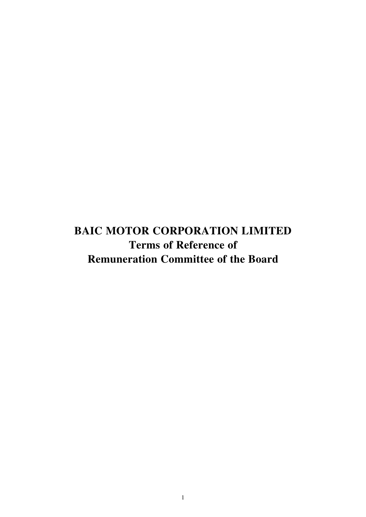**BAIC MOTOR CORPORATION LIMITED Terms of Reference of Remuneration Committee of the Board**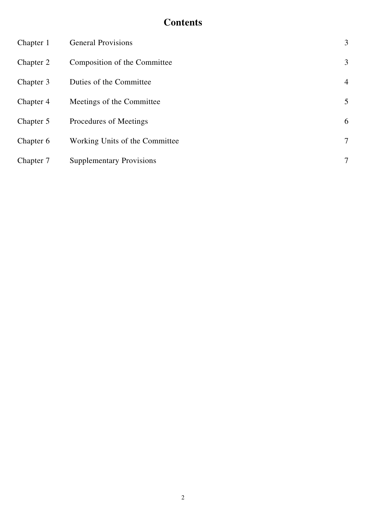# **Contents**

| Chapter 1 | <b>General Provisions</b>       | 3              |
|-----------|---------------------------------|----------------|
| Chapter 2 | Composition of the Committee    | 3              |
| Chapter 3 | Duties of the Committee         | $\overline{4}$ |
| Chapter 4 | Meetings of the Committee       | 5              |
| Chapter 5 | Procedures of Meetings          | 6              |
| Chapter 6 | Working Units of the Committee  | $\tau$         |
| Chapter 7 | <b>Supplementary Provisions</b> | 7              |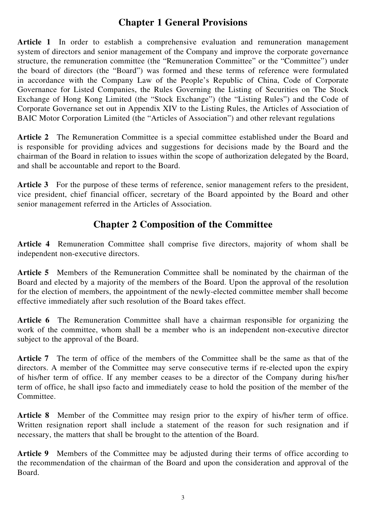#### **Chapter 1 General Provisions**

**Article 1** In order to establish a comprehensive evaluation and remuneration management system of directors and senior management of the Company and improve the corporate governance structure, the remuneration committee (the "Remuneration Committee" or the "Committee") under the board of directors (the "Board") was formed and these terms of reference were formulated in accordance with the Company Law of the People's Republic of China, Code of Corporate Governance for Listed Companies, the Rules Governing the Listing of Securities on The Stock Exchange of Hong Kong Limited (the "Stock Exchange") (the "Listing Rules") and the Code of Corporate Governance set out in Appendix XIV to the Listing Rules, the Articles of Association of BAIC Motor Corporation Limited (the "Articles of Association") and other relevant regulations

**Article 2** The Remuneration Committee is a special committee established under the Board and is responsible for providing advices and suggestions for decisions made by the Board and the chairman of the Board in relation to issues within the scope of authorization delegated by the Board, and shall be accountable and report to the Board.

Article 3 For the purpose of these terms of reference, senior management refers to the president, vice president, chief financial officer, secretary of the Board appointed by the Board and other senior management referred in the Articles of Association.

### **Chapter 2 Composition of the Committee**

**Article 4** Remuneration Committee shall comprise five directors, majority of whom shall be independent non-executive directors.

**Article 5** Members of the Remuneration Committee shall be nominated by the chairman of the Board and elected by a majority of the members of the Board. Upon the approval of the resolution for the election of members, the appointment of the newly-elected committee member shall become effective immediately after such resolution of the Board takes effect.

**Article 6** The Remuneration Committee shall have a chairman responsible for organizing the work of the committee, whom shall be a member who is an independent non-executive director subject to the approval of the Board.

Article 7 The term of office of the members of the Committee shall be the same as that of the directors. A member of the Committee may serve consecutive terms if re-elected upon the expiry of his/her term of office. If any member ceases to be a director of the Company during his/her term of office, he shall ipso facto and immediately cease to hold the position of the member of the Committee.

Article 8 Member of the Committee may resign prior to the expiry of his/her term of office. Written resignation report shall include a statement of the reason for such resignation and if necessary, the matters that shall be brought to the attention of the Board.

Article 9 Members of the Committee may be adjusted during their terms of office according to the recommendation of the chairman of the Board and upon the consideration and approval of the Board.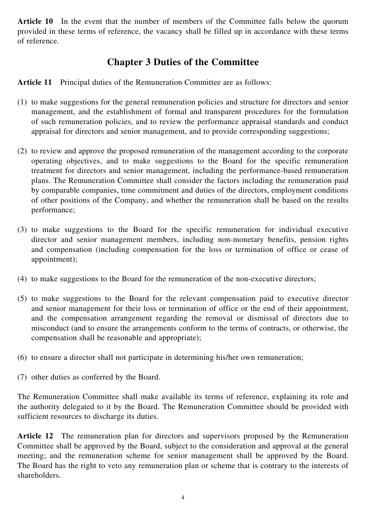Article 10 In the event that the number of members of the Committee falls below the quorum provided in these terms of reference, the vacancy shall be filled up in accordance with these terms of reference.

# **Chapter 3 Duties of the Committee**

**Article 11** Principal duties of the Remuneration Committee are as follows:

- (1) to make suggestions for the general remuneration policies and structure for directors and senior management, and the establishment of formal and transparent procedures for the formulation of such remuneration policies, and to review the performance appraisal standards and conduct appraisal for directors and senior management, and to provide corresponding suggestions;
- (2) to review and approve the proposed remuneration of the management according to the corporate operating objectives, and to make suggestions to the Board for the specific remuneration treatment for directors and senior management, including the performance-based remuneration plans. The Remuneration Committee shall consider the factors including the remuneration paid by comparable companies, time commitment and duties of the directors, employment conditions of other positions of the Company, and whether the remuneration shall be based on the results performance;
- (3) to make suggestions to the Board for the specific remuneration for individual executive director and senior management members, including non-monetary benefits, pension rights and compensation (including compensation for the loss or termination of office or cease of appointment);
- (4) to make suggestions to the Board for the remuneration of the non-executive directors;
- (5) to make suggestions to the Board for the relevant compensation paid to executive director and senior management for their loss or termination of office or the end of their appointment, and the compensation arrangement regarding the removal or dismissal of directors due to misconduct (and to ensure the arrangements conform to the terms of contracts, or otherwise, the compensation shall be reasonable and appropriate);
- (6) to ensure a director shall not participate in determining his/her own remuneration;
- (7) other duties as conferred by the Board.

The Remuneration Committee shall make available its terms of reference, explaining its role and the authority delegated to it by the Board. The Remuneration Committee should be provided with sufficient resources to discharge its duties.

**Article 12** The remuneration plan for directors and supervisors proposed by the Remuneration Committee shall be approved by the Board, subject to the consideration and approval at the general meeting; and the remuneration scheme for senior management shall be approved by the Board. The Board has the right to veto any remuneration plan or scheme that is contrary to the interests of shareholders.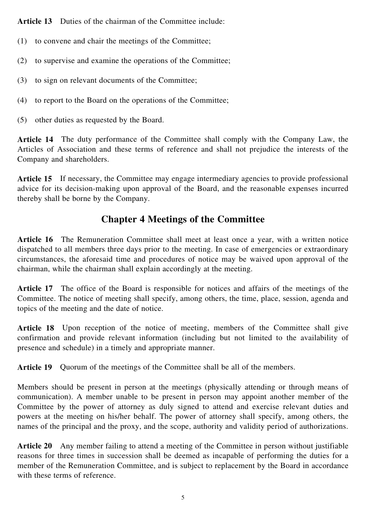Article 13 Duties of the chairman of the Committee include:

- (1) to convene and chair the meetings of the Committee;
- (2) to supervise and examine the operations of the Committee;
- (3) to sign on relevant documents of the Committee;
- (4) to report to the Board on the operations of the Committee;
- (5) other duties as requested by the Board.

**Article 14** The duty performance of the Committee shall comply with the Company Law, the Articles of Association and these terms of reference and shall not prejudice the interests of the Company and shareholders.

Article 15 If necessary, the Committee may engage intermediary agencies to provide professional advice for its decision-making upon approval of the Board, and the reasonable expenses incurred thereby shall be borne by the Company.

#### **Chapter 4 Meetings of the Committee**

**Article 16** The Remuneration Committee shall meet at least once a year, with a written notice dispatched to all members three days prior to the meeting. In case of emergencies or extraordinary circumstances, the aforesaid time and procedures of notice may be waived upon approval of the chairman, while the chairman shall explain accordingly at the meeting.

**Article 17** The office of the Board is responsible for notices and affairs of the meetings of the Committee. The notice of meeting shall specify, among others, the time, place, session, agenda and topics of the meeting and the date of notice.

Article 18 Upon reception of the notice of meeting, members of the Committee shall give confirmation and provide relevant information (including but not limited to the availability of presence and schedule) in a timely and appropriate manner.

Article 19 Quorum of the meetings of the Committee shall be all of the members.

Members should be present in person at the meetings (physically attending or through means of communication). A member unable to be present in person may appoint another member of the Committee by the power of attorney as duly signed to attend and exercise relevant duties and powers at the meeting on his/her behalf. The power of attorney shall specify, among others, the names of the principal and the proxy, and the scope, authority and validity period of authorizations.

**Article 20** Any member failing to attend a meeting of the Committee in person without justifiable reasons for three times in succession shall be deemed as incapable of performing the duties for a member of the Remuneration Committee, and is subject to replacement by the Board in accordance with these terms of reference.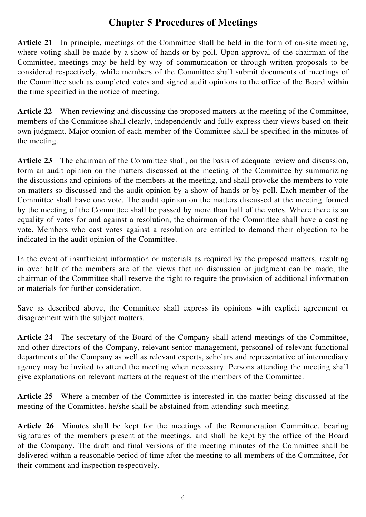### **Chapter 5 Procedures of Meetings**

**Article 21** In principle, meetings of the Committee shall be held in the form of on-site meeting, where voting shall be made by a show of hands or by poll. Upon approval of the chairman of the Committee, meetings may be held by way of communication or through written proposals to be considered respectively, while members of the Committee shall submit documents of meetings of the Committee such as completed votes and signed audit opinions to the office of the Board within the time specified in the notice of meeting.

Article 22 When reviewing and discussing the proposed matters at the meeting of the Committee, members of the Committee shall clearly, independently and fully express their views based on their own judgment. Major opinion of each member of the Committee shall be specified in the minutes of the meeting.

Article 23 The chairman of the Committee shall, on the basis of adequate review and discussion, form an audit opinion on the matters discussed at the meeting of the Committee by summarizing the discussions and opinions of the members at the meeting, and shall provoke the members to vote on matters so discussed and the audit opinion by a show of hands or by poll. Each member of the Committee shall have one vote. The audit opinion on the matters discussed at the meeting formed by the meeting of the Committee shall be passed by more than half of the votes. Where there is an equality of votes for and against a resolution, the chairman of the Committee shall have a casting vote. Members who cast votes against a resolution are entitled to demand their objection to be indicated in the audit opinion of the Committee.

In the event of insufficient information or materials as required by the proposed matters, resulting in over half of the members are of the views that no discussion or judgment can be made, the chairman of the Committee shall reserve the right to require the provision of additional information or materials for further consideration.

Save as described above, the Committee shall express its opinions with explicit agreement or disagreement with the subject matters.

**Article 24** The secretary of the Board of the Company shall attend meetings of the Committee, and other directors of the Company, relevant senior management, personnel of relevant functional departments of the Company as well as relevant experts, scholars and representative of intermediary agency may be invited to attend the meeting when necessary. Persons attending the meeting shall give explanations on relevant matters at the request of the members of the Committee.

Article 25 Where a member of the Committee is interested in the matter being discussed at the meeting of the Committee, he/she shall be abstained from attending such meeting.

**Article 26** Minutes shall be kept for the meetings of the Remuneration Committee, bearing signatures of the members present at the meetings, and shall be kept by the office of the Board of the Company. The draft and final versions of the meeting minutes of the Committee shall be delivered within a reasonable period of time after the meeting to all members of the Committee, for their comment and inspection respectively.